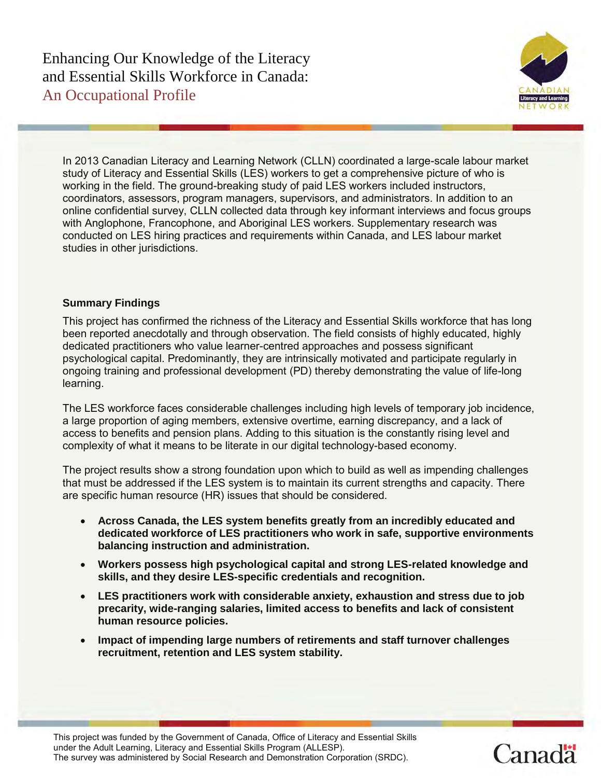

In 2013 Canadian Literacy and Learning Network (CLLN) coordinated a large-scale labour market study of Literacy and Essential Skills (LES) workers to get a comprehensive picture of who is working in the field. The ground-breaking study of paid LES workers included instructors, coordinators, assessors, program managers, supervisors, and administrators. In addition to an online confidential survey, CLLN collected data through key informant interviews and focus groups with Anglophone, Francophone, and Aboriginal LES workers. Supplementary research was conducted on LES hiring practices and requirements within Canada, and LES labour market studies in other jurisdictions.

## **Summary Findings**

This project has confirmed the richness of the Literacy and Essential Skills workforce that has long been reported anecdotally and through observation. The field consists of highly educated, highly dedicated practitioners who value learner-centred approaches and possess significant psychological capital. Predominantly, they are intrinsically motivated and participate regularly in ongoing training and professional development (PD) thereby demonstrating the value of life-long learning.

The LES workforce faces considerable challenges including high levels of temporary job incidence, a large proportion of aging members, extensive overtime, earning discrepancy, and a lack of access to benefits and pension plans. Adding to this situation is the constantly rising level and complexity of what it means to be literate in our digital technology-based economy.

The project results show a strong foundation upon which to build as well as impending challenges that must be addressed if the LES system is to maintain its current strengths and capacity. There are specific human resource (HR) issues that should be considered.

- **Across Canada, the LES system benefits greatly from an incredibly educated and dedicated workforce of LES practitioners who work in safe, supportive environments balancing instruction and administration.**
- **Workers possess high psychological capital and strong LES-related knowledge and skills, and they desire LES-specific credentials and recognition.**
- **LES practitioners work with considerable anxiety, exhaustion and stress due to job precarity, wide-ranging salaries, limited access to benefits and lack of consistent human resource policies.**
- **Impact of impending large numbers of retirements and staff turnover challenges recruitment, retention and LES system stability.**